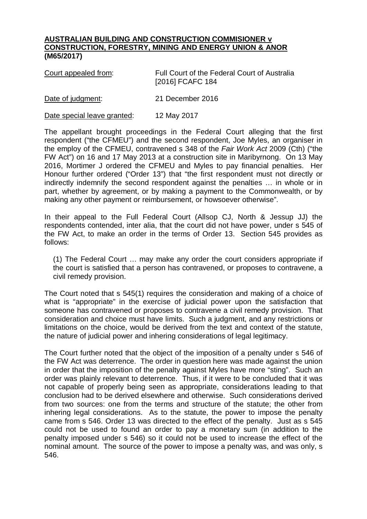## **AUSTRALIAN BUILDING AND CONSTRUCTION COMMISIONER v CONSTRUCTION, FORESTRY, MINING AND ENERGY UNION & ANOR (M65/2017)**

| Court appealed from: | Full Court of the Federal Court of Australia<br>[2016] FCAFC 184 |
|----------------------|------------------------------------------------------------------|
| Date of judgment:    | 21 December 2016                                                 |

Date special leave granted: 12 May 2017

The appellant brought proceedings in the Federal Court alleging that the first respondent ("the CFMEU") and the second respondent, Joe Myles, an organiser in the employ of the CFMEU, contravened s 348 of the *Fair Work Act* 2009 (Cth) ("the FW Act") on 16 and 17 May 2013 at a construction site in Maribyrnong. On 13 May 2016, Mortimer J ordered the CFMEU and Myles to pay financial penalties. Her Honour further ordered ("Order 13") that "the first respondent must not directly or indirectly indemnify the second respondent against the penalties … in whole or in part, whether by agreement, or by making a payment to the Commonwealth, or by making any other payment or reimbursement, or howsoever otherwise".

In their appeal to the Full Federal Court (Allsop CJ, North & Jessup JJ) the respondents contended, inter alia, that the court did not have power, under s 545 of the FW Act, to make an order in the terms of Order 13. Section 545 provides as follows:

(1) The Federal Court … may make any order the court considers appropriate if the court is satisfied that a person has contravened, or proposes to contravene, a civil remedy provision.

The Court noted that s 545(1) requires the consideration and making of a choice of what is "appropriate" in the exercise of judicial power upon the satisfaction that someone has contravened or proposes to contravene a civil remedy provision. That consideration and choice must have limits. Such a judgment, and any restrictions or limitations on the choice, would be derived from the text and context of the statute, the nature of judicial power and inhering considerations of legal legitimacy.

The Court further noted that the object of the imposition of a penalty under s 546 of the FW Act was deterrence. The order in question here was made against the union in order that the imposition of the penalty against Myles have more "sting". Such an order was plainly relevant to deterrence. Thus, if it were to be concluded that it was not capable of properly being seen as appropriate, considerations leading to that conclusion had to be derived elsewhere and otherwise. Such considerations derived from two sources: one from the terms and structure of the statute; the other from inhering legal considerations. As to the statute, the power to impose the penalty came from s 546. Order 13 was directed to the effect of the penalty. Just as s 545 could not be used to found an order to pay a monetary sum (in addition to the penalty imposed under s 546) so it could not be used to increase the effect of the nominal amount. The source of the power to impose a penalty was, and was only, s 546.